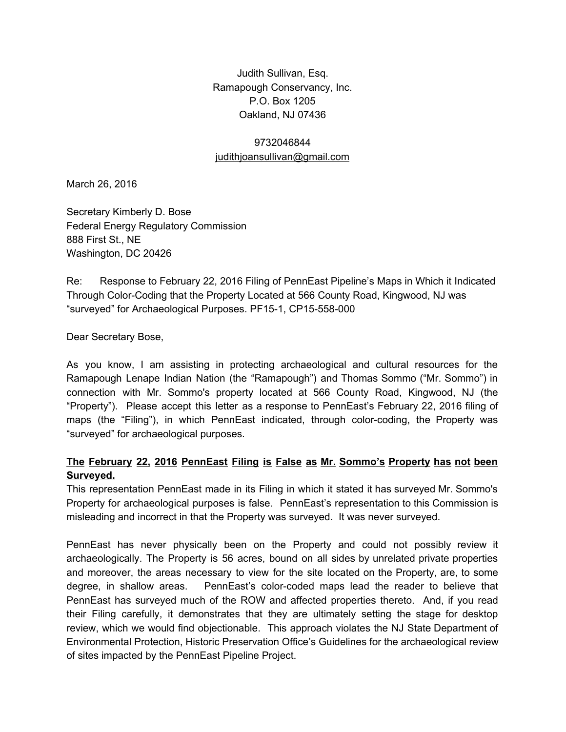Judith Sullivan, Esq. Ramapough Conservancy, Inc. P.O. Box 1205 Oakland, NJ 07436

## 9732046844 [judithjoansullivan@gmail.com](mailto:judithjoansullivan@gmail.com)

March 26, 2016

Secretary Kimberly D. Bose Federal Energy Regulatory Commission 888 First St., NE Washington, DC 20426

Re: Response to February 22, 2016 Filing of PennEast Pipeline's Maps in Which it Indicated Through Color-Coding that the Property Located at 566 County Road, Kingwood, NJ was "surveyed" for Archaeological Purposes. PF15-1, CP15-558-000

Dear Secretary Bose,

As you know, I am assisting in protecting archaeological and cultural resources for the Ramapough Lenape Indian Nation (the "Ramapough") and Thomas Sommo ("Mr. Sommo") in connection with Mr. Sommo's property located at 566 County Road, Kingwood, NJ (the "Property"). Please accept this letter as a response to PennEast's February 22, 2016 filing of maps (the "Filing"), in which PennEast indicated, through color-coding, the Property was "surveyed" for archaeological purposes.

# **The February 22, 2016 PennEast Filing is False as Mr. Sommo's Property has not been Surveyed.**

This representation PennEast made in its Filing in which it stated it has surveyed Mr. Sommo's Property for archaeological purposes is false. PennEast's representation to this Commission is misleading and incorrect in that the Property was surveyed. It was never surveyed.

PennEast has never physically been on the Property and could not possibly review it archaeologically. The Property is 56 acres, bound on all sides by unrelated private properties and moreover, the areas necessary to view for the site located on the Property, are, to some degree, in shallow areas. PennEast's colorcoded maps lead the reader to believe that PennEast has surveyed much of the ROW and affected properties thereto. And, if you read their Filing carefully, it demonstrates that they are ultimately setting the stage for desktop review, which we would find objectionable. This approach violates the NJ State Department of Environmental Protection, Historic Preservation Office's Guidelines for the archaeological review of sites impacted by the PennEast Pipeline Project.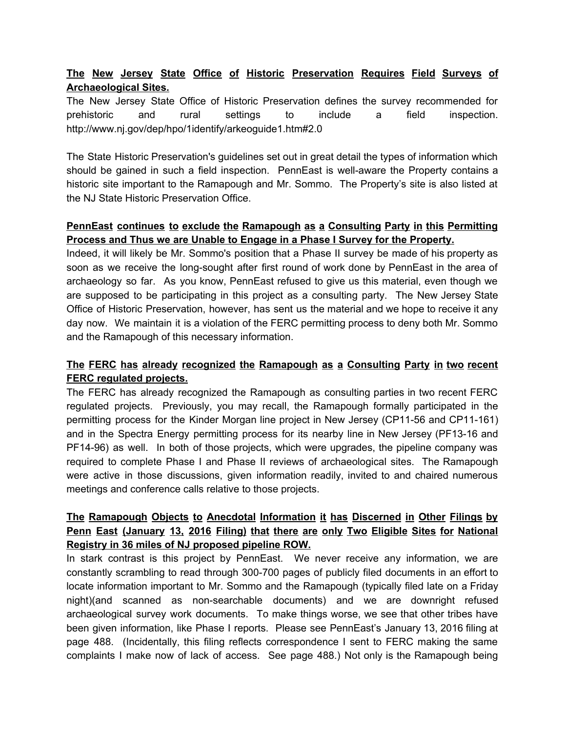# **The New Jersey State Office of Historic Preservation Requires Field Surveys of Archaeological Sites.**

The New Jersey State Office of Historic Preservation defines the survey recommended for prehistoric and rural settings to include a field inspection. http://www.nj.gov/dep/hpo/1identify/arkeoguide1.htm#2.0

The State Historic Preservation's guidelines set out in great detail the types of information which should be gained in such a field inspection. PennEast is well-aware the Property contains a historic site important to the Ramapough and Mr. Sommo. The Property's site is also listed at the NJ State Historic Preservation Office.

#### **PennEast continues to exclude the Ramapough as a Consulting Party in this Permitting Process and Thus we are Unable to Engage in a Phase I Survey for the Property.**

Indeed, it will likely be Mr. Sommo's position that a Phase II survey be made of his property as soon as we receive the long-sought after first round of work done by PennEast in the area of archaeology so far. As you know, PennEast refused to give us this material, even though we are supposed to be participating in this project as a consulting party. The New Jersey State Office of Historic Preservation, however, has sent us the material and we hope to receive it any day now. We maintain it is a violation of the FERC permitting process to deny both Mr. Sommo and the Ramapough of this necessary information.

# **The FERC has already recognized the Ramapough as a Consulting Party in two recent FERC regulated projects.**

The FERC has already recognized the Ramapough as consulting parties in two recent FERC regulated projects. Previously, you may recall, the Ramapough formally participated in the permitting process for the Kinder Morgan line project in New Jersey (CP11-56 and CP11-161) and in the Spectra Energy permitting process for its nearby line in New Jersey (PF13-16 and PF1496) as well. In both of those projects, which were upgrades, the pipeline company was required to complete Phase I and Phase II reviews of archaeological sites. The Ramapough were active in those discussions, given information readily, invited to and chaired numerous meetings and conference calls relative to those projects.

# **The Ramapough Objects to Anecdotal Information it has Discerned in Other Filings by Penn East (January 13, 2016 Filing) that there are only Two Eligible Sites for National Registry in 36 miles of NJ proposed pipeline ROW.**

In stark contrast is this project by PennEast. We never receive any information, we are constantly scrambling to read through 300-700 pages of publicly filed documents in an effort to locate information important to Mr. Sommo and the Ramapough (typically filed late on a Friday night)(and scanned as non-searchable documents) and we are downright refused archaeological survey work documents. To make things worse, we see that other tribes have been given information, like Phase I reports. Please see PennEast's January 13, 2016 filing at page 488. (Incidentally, this filing reflects correspondence I sent to FERC making the same complaints I make now of lack of access. See page 488.) Not only is the Ramapough being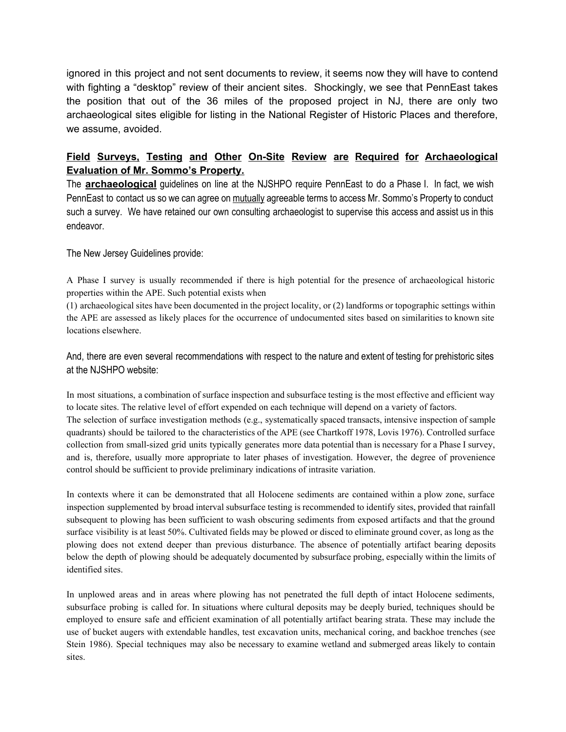ignored in this project and not sent documents to review, it seems now they will have to contend with fighting a "desktop" review of their ancient sites. Shockingly, we see that PennEast takes the position that out of the 36 miles of the proposed project in NJ, there are only two archaeological sites eligible for listing in the National Register of Historic Places and therefore, we assume, avoided.

#### **Field Surveys, Testing and Other OnSite Review are Required for Archaeological Evaluation of Mr. Sommo's Property.**

The **archaeological** guidelines on line at the NJSHPO require PennEast to do a Phase I. In fact, we wish PennEast to contact us so we can agree on mutually agreeable terms to access Mr. Sommo's Property to conduct such a survey. We have retained our own consulting archaeologist to supervise this access and assist us in this endeavor.

#### The New Jersey Guidelines provide:

A Phase I survey is usually recommended if there is high potential for the presence of archaeological historic properties within the APE. Such potential exists when

(1) archaeological sites have been documented in the project locality, or (2) landforms or topographic settings within the APE are assessed as likely places for the occurrence of undocumented sites based on similarities to known site locations elsewhere.

And, there are even several recommendations with respect to the nature and extent of testing for prehistoric sites at the NJSHPO website:

In most situations, a combination of surface inspection and subsurface testing is the most effective and efficient way to locate sites. The relative level of effort expended on each technique will depend on a variety of factors. The selection of surface investigation methods (e.g., systematically spaced transacts, intensive inspection of sample quadrants) should be tailored to the characteristics of the APE (see Chartkoff 1978, Lovis 1976). Controlled surface collection from small-sized grid units typically generates more data potential than is necessary for a Phase I survey, and is, therefore, usually more appropriate to later phases of investigation. However, the degree of provenience control should be sufficient to provide preliminary indications of intrasite variation.

In contexts where it can be demonstrated that all Holocene sediments are contained within a plow zone, surface inspection supplemented by broad interval subsurface testing is recommended to identify sites, provided that rainfall subsequent to plowing has been sufficient to wash obscuring sediments from exposed artifacts and that the ground surface visibility is at least 50%. Cultivated fields may be plowed or disced to eliminate ground cover, as long as the plowing does not extend deeper than previous disturbance. The absence of potentially artifact bearing deposits below the depth of plowing should be adequately documented by subsurface probing, especially within the limits of identified sites.

In unplowed areas and in areas where plowing has not penetrated the full depth of intact Holocene sediments, subsurface probing is called for. In situations where cultural deposits may be deeply buried, techniques should be employed to ensure safe and efficient examination of all potentially artifact bearing strata. These may include the use of bucket augers with extendable handles, test excavation units, mechanical coring, and backhoe trenches (see Stein 1986). Special techniques may also be necessary to examine wetland and submerged areas likely to contain sites.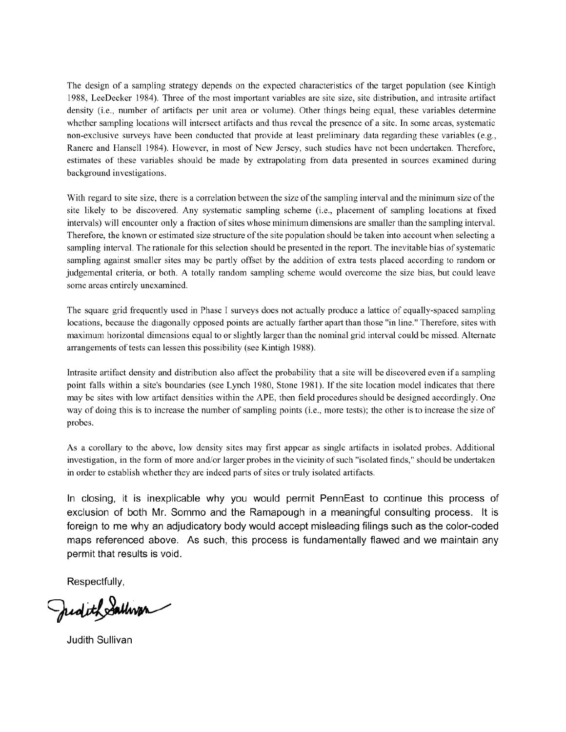The design of a sampling strategy depends on the expected characteristics of the target population (see Kintigh 1988, LeeDecker 1984). Three of the most important variables are site size, site distribution, and intrasite artifact density (i.e., number of artifacts per unit area or volume). Other things being equal, these variables determine whether sampling locations will intersect artifacts and thus reveal the presence of a site. In some areas, systematic non-exclusive surveys have been conducted that provide at least preliminary data regarding these variables (e.g., Ranere and Hansell 1984). However, in most of New Jersey, such studies have not been undertaken. Therefore, estimates of these variables should be made by extrapolating from data presented in sources examined during background investigations.

With regard to site size, there is a correlation between the size of the sampling interval and the minimum size of the site likely to be discovered. Any systematic sampling scheme (i.e., placement of sampling locations at fixed intervals) will encounter only a fraction of sites whose minimum dimensions are smaller than the sampling interval. Therefore, the known or estimated size structure of the site population should be taken into account when selecting a sampling interval. The rationale for this selection should be presented in the report. The inevitable bias of systematic sampling against smaller sites may be partly offset by the addition of extra tests placed according to random or judgemental criteria, or both. A totally random sampling scheme would overcome the size bias, but could leave some areas entirely unexamined.

The square grid frequently used in Phase I surveys does not actually produce a lattice of equally-spaced sampling locations, because the diagonally opposed points are actually farther apart than those "in line." Therefore, sites with maximum horizontal dimensions equal to or slightly larger than the nominal grid interval could be missed. Alternate arrangements of tests can lessen this possibility (see Kintigh 1988).

Intrasite artifact density and distribution also affect the probability that a site will be discovered even if a sampling point falls within a site's boundaries (see Lynch 1980, Stone 1981). If the site location model indicates that there may be sites with low artifact densities within the APE, then field procedures should be designed accordingly. One way of doing this is to increase the number of sampling points (i.e., more tests); the other is to increase the size of probes.

As a corollary to the above, low density sites may first appear as single artifacts in isolated probes. Additional investigation, in the form of more and/or larger probes in the vicinity of such "isolated finds," should be undertaken in order to establish whether they are indeed parts of sites or truly isolated artifacts.

In closing, it is inexplicable why you would permit PennEast to continue this process of exclusion of both Mr. Sommo and the Ramapough in a meaningful consulting process. It is foreign to me why an adjudicatory body would accept misleading filings such as the color-coded maps referenced above. As such, this process is fundamentally flawed and we maintain any permit that results is void.

Respectfully,

Judith Sallwan

Judith Sullivan